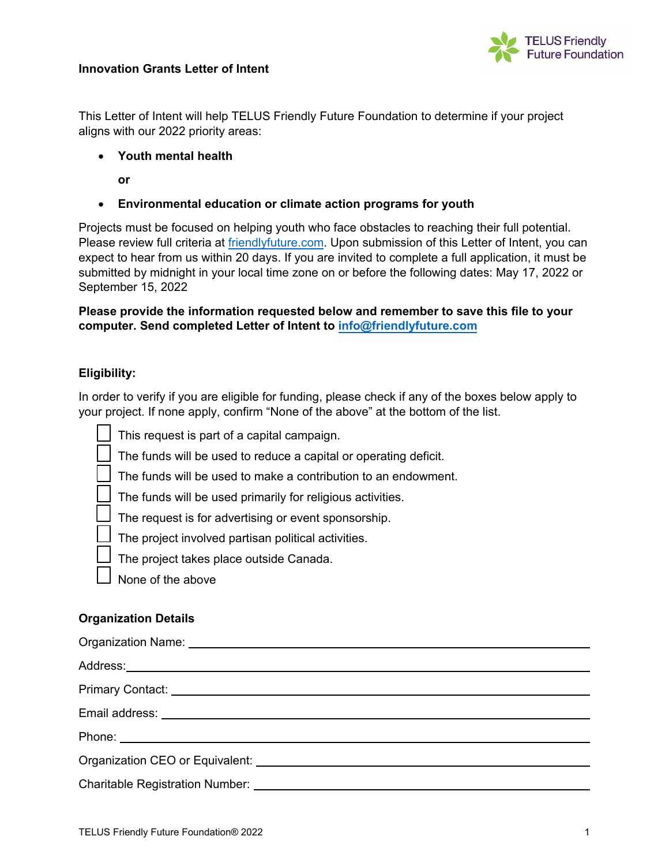



This Letter of Intent will help TELUS Friendly Future Foundation to determine if your project aligns with our 2022 priority areas:

- **Youth mental health**
	- **or**
- **Environmental education or climate action programs for youth**

Projects must be focused on helping youth who face obstacles to reaching their full potential. Please review full criteria at [friendlyfuture.com.](https://www.friendlyfuture.com/en/foundation/apply-for-funding?linktype=ge-mainnav) Upon submission of this Letter of Intent, you can expect to hear from us within 20 days. If you are invited to complete a full application, it must be submitted by midnight in your local time zone on or before the following dates: May 17, 2022 or September 15, 2022

**Please provide the information requested below and remember to save this file to your computer. Send completed Letter of Intent to [info@friendlyfuture.com](mailto:info@friendlyfuture.com)**

## **Eligibility:**

In order to verify if you are eligible for funding, please check if any of the boxes below apply to your project. If none apply, confirm "None of the above" at the bottom of the list.

| This request is part of a capital campaign. |  |  |
|---------------------------------------------|--|--|
|                                             |  |  |

The funds will be used to reduce a capital or operating deficit.

The funds will be used to make a contribution to an endowment.

The funds will be used primarily for religious activities.

The request is for advertising or event sponsorship.

The project involved partisan political activities.

The project takes place outside Canada.

None of the above

## **Organization Details**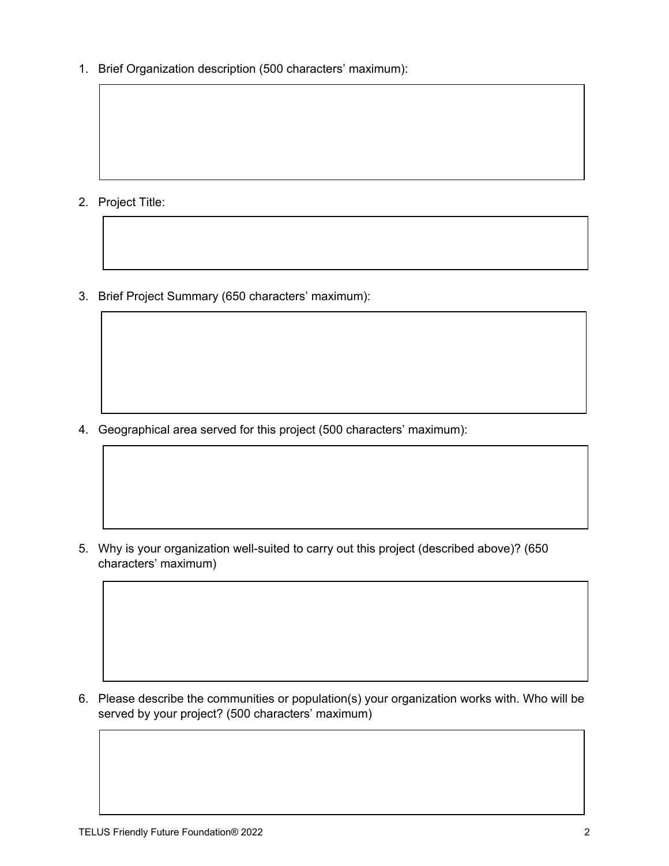1. Brief Organization description (500 characters' maximum):

- 2. Project Title:
- 3. Brief Project Summary (650 characters' maximum):

4. Geographical area served for this project (500 characters' maximum):

5. Why is your organization well-suited to carry out this project (described above)? (650 characters' maximum)

6. Please describe the communities or population(s) your organization works with. Who will be served by your project? (500 characters' maximum)